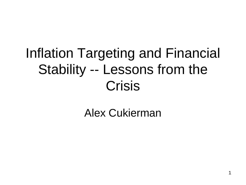#### Inflation Targeting and Financial Stability -- Lessons from the Crisis

#### Alex Cukierman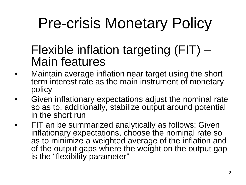# Pre-crisis Monetary Policy

#### Flexible inflation targeting (FIT) – Main features

- • Maintain average inflation near target using the short term interest rate as the main instrument of monetary policy
- • Given inflationary expectations adjust the nominal rate so as to, additionally, stabilize output around potential in the short run
- • FIT an be summarized analytically as follows: Given inflationary expectations, choose the nominal rate so as to minimize a weighted average of the inflation and of the output gaps where the weight on the output gap is the "flexibility parameter"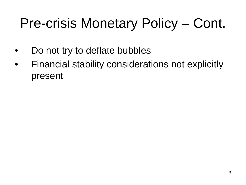#### Pre-crisis Monetary Policy – Cont.

- •Do not try to deflate bubbles
- • Financial stability considerations not explicitly present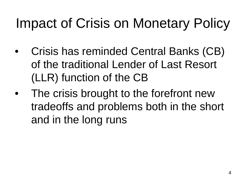### Impact of Crisis on Monetary Policy

- • Crisis has reminded Central Banks (CB) of the traditional Lender of Last Resort (LLR) function of the CB
- • The crisis brought to the forefront new tradeoffs and problems both in the short and in the long runs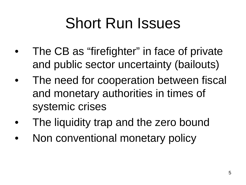## Short Run Issues

- • The CB as "firefighter" in face of private and public sector uncertainty (bailouts)
- • The need for cooperation between fiscal and monetary authorities in times of systemic crises
- •The liquidity trap and the zero bound
- •Non conventional monetary policy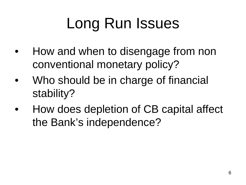## Long Run Issues

- • How and when to disengage from non conventional monetary policy?
- • Who should be in charge of financial stability?
- • How does depletion of CB capital affect the Bank's independence?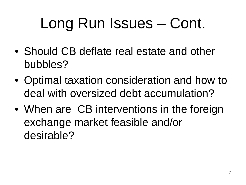## Long Run Issues – Cont.

- Should CB deflate real estate and other bubbles?
- Optimal taxation consideration and how to deal with oversized debt accumulation?
- When are CB interventions in the foreign exchange market feasible and/or desirable?